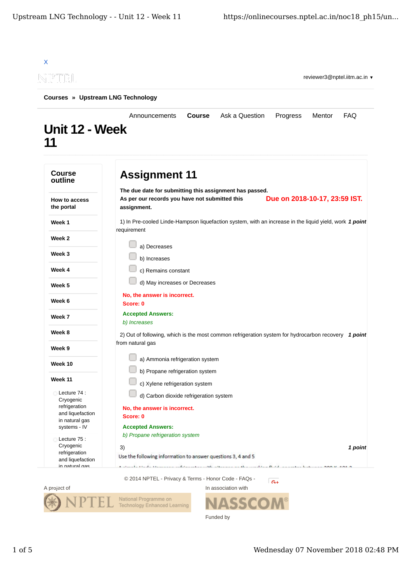|                                                                | Announcements                                                                                                            | <b>Course</b> | Ask a Question | Progress                      | Mentor | <b>FAQ</b> |
|----------------------------------------------------------------|--------------------------------------------------------------------------------------------------------------------------|---------------|----------------|-------------------------------|--------|------------|
| Unit 12 - Week<br>11                                           |                                                                                                                          |               |                |                               |        |            |
| <b>Course</b><br>outline                                       | <b>Assignment 11</b>                                                                                                     |               |                |                               |        |            |
| How to access<br>the portal                                    | The due date for submitting this assignment has passed.<br>As per our records you have not submitted this<br>assignment. |               |                | Due on 2018-10-17, 23:59 IST. |        |            |
| Week 1                                                         | 1) In Pre-cooled Linde-Hampson liquefaction system, with an increase in the liquid yield, work 1 point<br>requirement    |               |                |                               |        |            |
| Week 2                                                         | a) Decreases                                                                                                             |               |                |                               |        |            |
| Week 3                                                         | b) Increases                                                                                                             |               |                |                               |        |            |
| Week 4                                                         | c) Remains constant                                                                                                      |               |                |                               |        |            |
| Week 5                                                         | d) May increases or Decreases                                                                                            |               |                |                               |        |            |
| Week 6                                                         | No, the answer is incorrect.<br>Score: 0                                                                                 |               |                |                               |        |            |
| Week 7                                                         | <b>Accepted Answers:</b><br>b) Increases                                                                                 |               |                |                               |        |            |
| Week 8                                                         | 2) Out of following, which is the most common refrigeration system for hydrocarbon recovery 1 point                      |               |                |                               |        |            |
| Week 9                                                         | from natural gas                                                                                                         |               |                |                               |        |            |
| Week 10                                                        | a) Ammonia refrigeration system                                                                                          |               |                |                               |        |            |
| Week 11                                                        | b) Propane refrigeration system<br>c) Xylene refrigeration system                                                        |               |                |                               |        |            |
| Lecture 74:<br>Cryogenic                                       | d) Carbon dioxide refrigeration system                                                                                   |               |                |                               |        |            |
| refrigeration<br>and liquefaction<br>in natural gas            | No, the answer is incorrect.<br>Score: 0                                                                                 |               |                |                               |        |            |
| systems - IV                                                   | <b>Accepted Answers:</b><br>b) Propane refrigeration system                                                              |               |                |                               |        |            |
| Lecture 75 :<br>Cryogenic<br>refrigeration<br>and liquefaction | 3)<br>Use the following information to answer questions 3, 4 and 5                                                       |               |                |                               |        | 1 point    |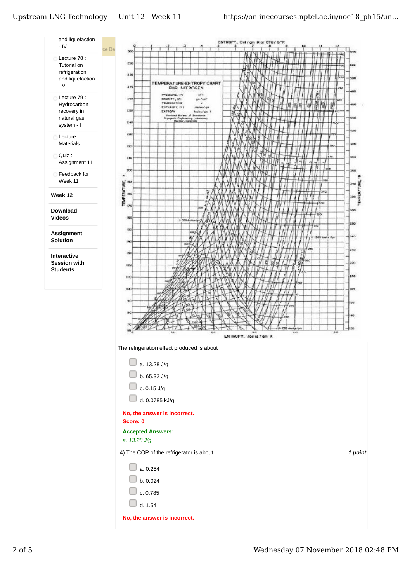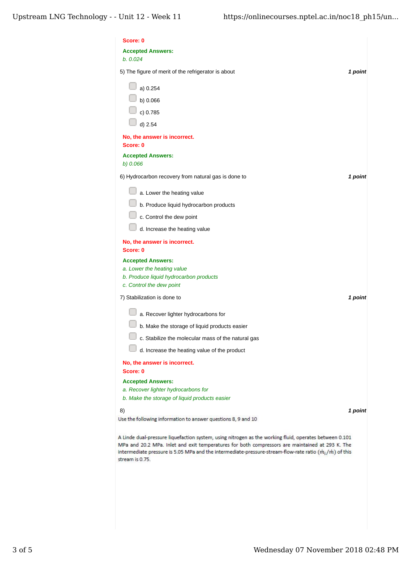| Score: 0                                                                                                                                                                                                                                                                                                                                             |  |
|------------------------------------------------------------------------------------------------------------------------------------------------------------------------------------------------------------------------------------------------------------------------------------------------------------------------------------------------------|--|
| <b>Accepted Answers:</b><br>b. 0.024                                                                                                                                                                                                                                                                                                                 |  |
| 5) The figure of merit of the refrigerator is about<br>1 point                                                                                                                                                                                                                                                                                       |  |
| a) 0.254                                                                                                                                                                                                                                                                                                                                             |  |
| b) 0.066                                                                                                                                                                                                                                                                                                                                             |  |
| c) 0.785                                                                                                                                                                                                                                                                                                                                             |  |
| d) 2.54                                                                                                                                                                                                                                                                                                                                              |  |
| No, the answer is incorrect.<br>Score: 0                                                                                                                                                                                                                                                                                                             |  |
| <b>Accepted Answers:</b>                                                                                                                                                                                                                                                                                                                             |  |
| b) 0.066                                                                                                                                                                                                                                                                                                                                             |  |
| 6) Hydrocarbon recovery from natural gas is done to<br>1 point                                                                                                                                                                                                                                                                                       |  |
| a. Lower the heating value                                                                                                                                                                                                                                                                                                                           |  |
| b. Produce liquid hydrocarbon products                                                                                                                                                                                                                                                                                                               |  |
| c. Control the dew point                                                                                                                                                                                                                                                                                                                             |  |
| d. Increase the heating value                                                                                                                                                                                                                                                                                                                        |  |
| No, the answer is incorrect.<br>Score: 0                                                                                                                                                                                                                                                                                                             |  |
| <b>Accepted Answers:</b>                                                                                                                                                                                                                                                                                                                             |  |
| a. Lower the heating value                                                                                                                                                                                                                                                                                                                           |  |
| b. Produce liquid hydrocarbon products<br>c. Control the dew point                                                                                                                                                                                                                                                                                   |  |
| 7) Stabilization is done to<br>1 point                                                                                                                                                                                                                                                                                                               |  |
| a. Recover lighter hydrocarbons for                                                                                                                                                                                                                                                                                                                  |  |
| b. Make the storage of liquid products easier                                                                                                                                                                                                                                                                                                        |  |
| c. Stabilize the molecular mass of the natural gas                                                                                                                                                                                                                                                                                                   |  |
| d. Increase the heating value of the product                                                                                                                                                                                                                                                                                                         |  |
| No, the answer is incorrect.<br>Score: 0                                                                                                                                                                                                                                                                                                             |  |
| <b>Accepted Answers:</b>                                                                                                                                                                                                                                                                                                                             |  |
| a. Recover lighter hydrocarbons for                                                                                                                                                                                                                                                                                                                  |  |
| b. Make the storage of liquid products easier                                                                                                                                                                                                                                                                                                        |  |
| 8)<br>1 point<br>Use the following information to answer questions 8, 9 and 10                                                                                                                                                                                                                                                                       |  |
|                                                                                                                                                                                                                                                                                                                                                      |  |
| A Linde dual-pressure liquefaction system, using nitrogen as the working fluid, operates between 0.101<br>MPa and 20.2 MPa. Inlet and exit temperatures for both compressors are maintained at 293 K. The<br>intermediate pressure is 5.05 MPa and the intermediate-pressure-stream-flow-rate ratio $(\dot{m}_i/\dot{m})$ of this<br>stream is 0.75. |  |